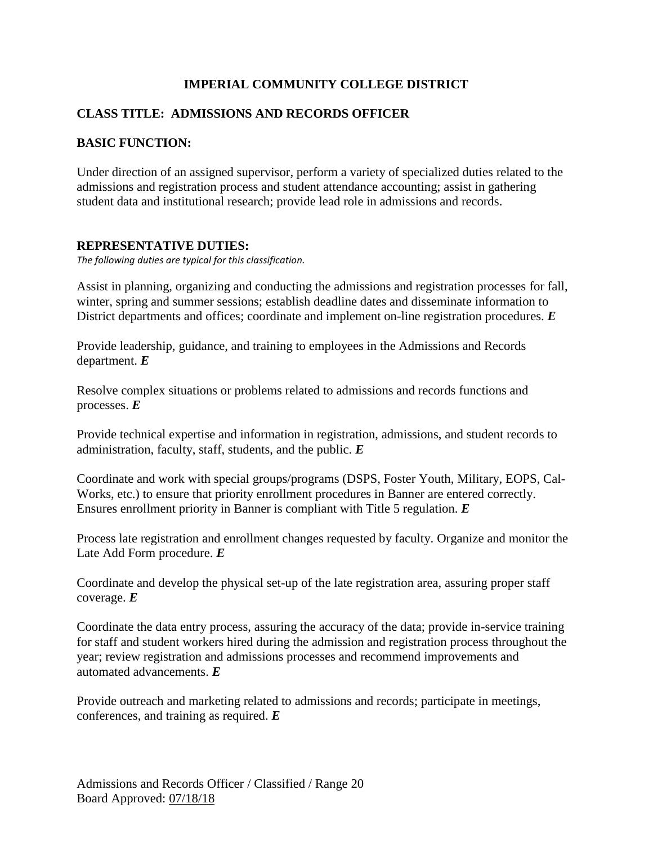# **IMPERIAL COMMUNITY COLLEGE DISTRICT**

# **CLASS TITLE: ADMISSIONS AND RECORDS OFFICER**

# **BASIC FUNCTION:**

Under direction of an assigned supervisor, perform a variety of specialized duties related to the admissions and registration process and student attendance accounting; assist in gathering student data and institutional research; provide lead role in admissions and records.

# **REPRESENTATIVE DUTIES:**

*The following duties are typical for this classification.*

Assist in planning, organizing and conducting the admissions and registration processes for fall, winter, spring and summer sessions; establish deadline dates and disseminate information to District departments and offices; coordinate and implement on-line registration procedures. *E*

Provide leadership, guidance, and training to employees in the Admissions and Records department. *E*

Resolve complex situations or problems related to admissions and records functions and processes. *E*

Provide technical expertise and information in registration, admissions, and student records to administration, faculty, staff, students, and the public. *E*

Coordinate and work with special groups/programs (DSPS, Foster Youth, Military, EOPS, Cal-Works, etc.) to ensure that priority enrollment procedures in Banner are entered correctly. Ensures enrollment priority in Banner is compliant with Title 5 regulation. *E*

Process late registration and enrollment changes requested by faculty. Organize and monitor the Late Add Form procedure. *E*

Coordinate and develop the physical set-up of the late registration area, assuring proper staff coverage. *E*

Coordinate the data entry process, assuring the accuracy of the data; provide in-service training for staff and student workers hired during the admission and registration process throughout the year; review registration and admissions processes and recommend improvements and automated advancements. *E*

Provide outreach and marketing related to admissions and records; participate in meetings, conferences, and training as required. *E*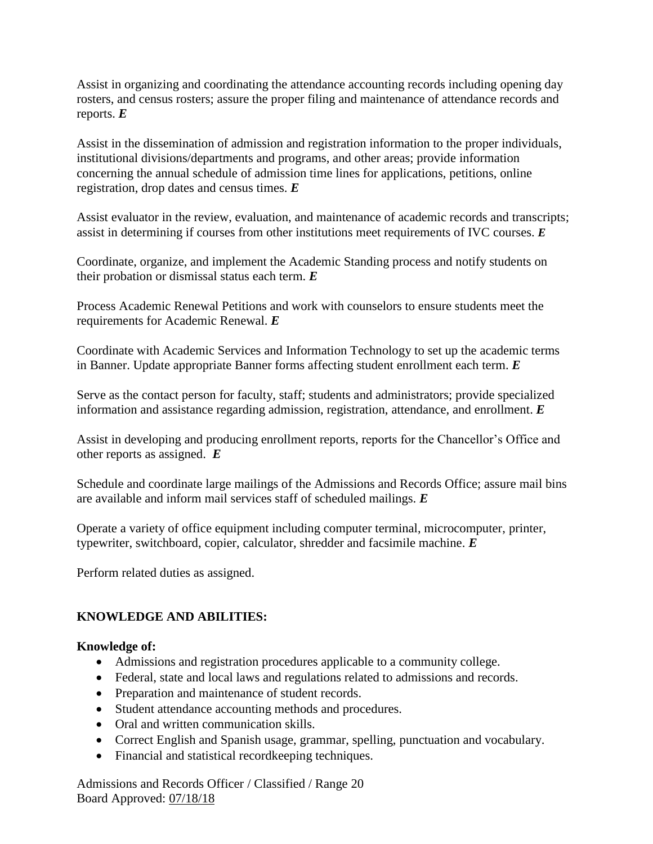Assist in organizing and coordinating the attendance accounting records including opening day rosters, and census rosters; assure the proper filing and maintenance of attendance records and reports. *E*

Assist in the dissemination of admission and registration information to the proper individuals, institutional divisions/departments and programs, and other areas; provide information concerning the annual schedule of admission time lines for applications, petitions, online registration, drop dates and census times. *E*

Assist evaluator in the review, evaluation, and maintenance of academic records and transcripts; assist in determining if courses from other institutions meet requirements of IVC courses. *E*

Coordinate, organize, and implement the Academic Standing process and notify students on their probation or dismissal status each term. *E*

Process Academic Renewal Petitions and work with counselors to ensure students meet the requirements for Academic Renewal. *E*

Coordinate with Academic Services and Information Technology to set up the academic terms in Banner. Update appropriate Banner forms affecting student enrollment each term. *E*

Serve as the contact person for faculty, staff; students and administrators; provide specialized information and assistance regarding admission, registration, attendance, and enrollment. *E*

Assist in developing and producing enrollment reports, reports for the Chancellor's Office and other reports as assigned. *E*

Schedule and coordinate large mailings of the Admissions and Records Office; assure mail bins are available and inform mail services staff of scheduled mailings. *E*

Operate a variety of office equipment including computer terminal, microcomputer, printer, typewriter, switchboard, copier, calculator, shredder and facsimile machine. *E*

Perform related duties as assigned.

# **KNOWLEDGE AND ABILITIES:**

# **Knowledge of:**

- Admissions and registration procedures applicable to a community college.
- Federal, state and local laws and regulations related to admissions and records.
- Preparation and maintenance of student records.
- Student attendance accounting methods and procedures.
- Oral and written communication skills.
- Correct English and Spanish usage, grammar, spelling, punctuation and vocabulary.
- Financial and statistical recordkeeping techniques.

Admissions and Records Officer / Classified / Range 20 Board Approved: 07/18/18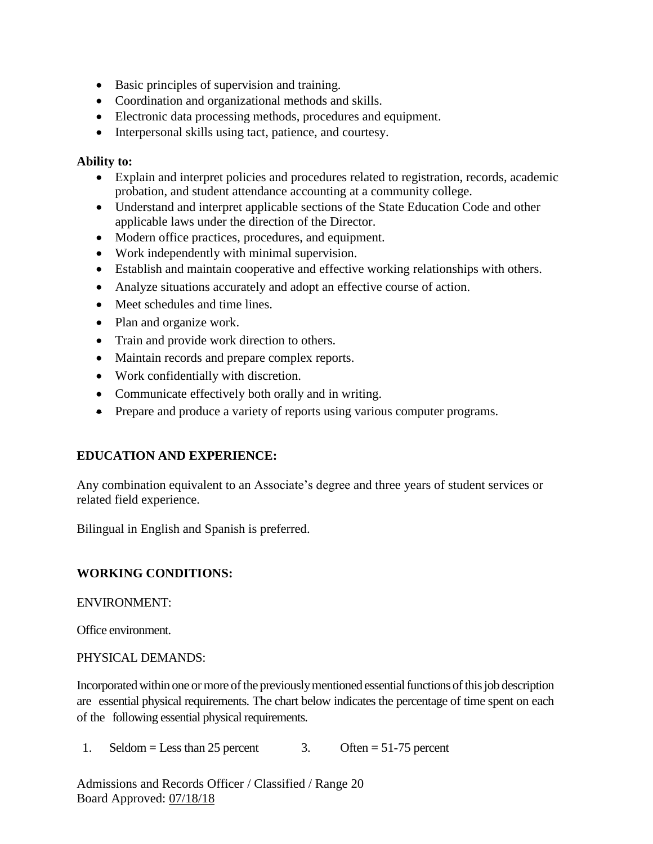- Basic principles of supervision and training.
- Coordination and organizational methods and skills.
- Electronic data processing methods, procedures and equipment.
- Interpersonal skills using tact, patience, and courtesy.

#### **Ability to:**

- Explain and interpret policies and procedures related to registration, records, academic probation, and student attendance accounting at a community college.
- Understand and interpret applicable sections of the State Education Code and other applicable laws under the direction of the Director.
- Modern office practices, procedures, and equipment.
- Work independently with minimal supervision.
- Establish and maintain cooperative and effective working relationships with others.
- Analyze situations accurately and adopt an effective course of action.
- Meet schedules and time lines.
- Plan and organize work.
- Train and provide work direction to others.
- Maintain records and prepare complex reports.
- Work confidentially with discretion.
- Communicate effectively both orally and in writing.
- Prepare and produce a variety of reports using various computer programs.

# **EDUCATION AND EXPERIENCE:**

Any combination equivalent to an Associate's degree and three years of student services or related field experience.

Bilingual in English and Spanish is preferred.

# **WORKING CONDITIONS:**

# ENVIRONMENT:

Office environment.

# PHYSICAL DEMANDS:

Incorporated within one or more of the previously mentioned essential functions of this job description are essential physical requirements. The chart below indicates the percentage of time spent on each of the following essential physical requirements.

1. Seldom = Less than 25 percent 3. Often =  $51-75$  percent

Admissions and Records Officer / Classified / Range 20 Board Approved: 07/18/18